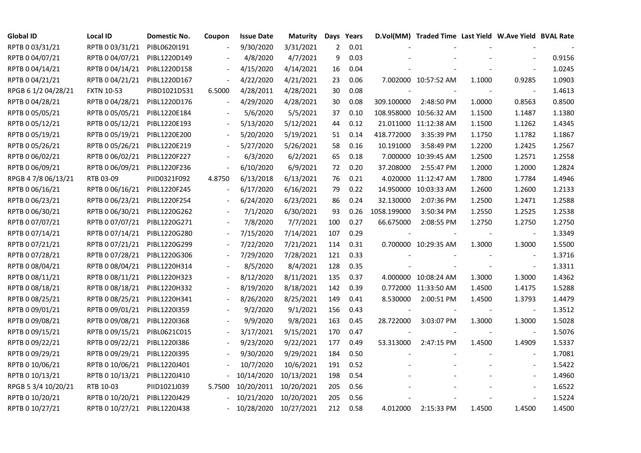| <b>Global ID</b>    | <b>Local ID</b>   | Domestic No. | Coupon                   | <b>Issue Date</b>     | <b>Maturity</b> |                | Days Years |             | D.Vol(MM) Traded Time Last Yield W.Ave Yield BVAL Rate |        |                          |        |
|---------------------|-------------------|--------------|--------------------------|-----------------------|-----------------|----------------|------------|-------------|--------------------------------------------------------|--------|--------------------------|--------|
| RPTB 0 03/31/21     | RPTB 0 03/31/21   | PIBL0620I191 |                          | 9/30/2020             | 3/31/2021       | $\overline{2}$ | 0.01       |             |                                                        |        |                          |        |
| RPTB 0 04/07/21     | RPTB 0 04/07/21   | PIBL1220D149 |                          | 4/8/2020              | 4/7/2021        | 9              | 0.03       |             |                                                        |        |                          | 0.9156 |
| RPTB 0 04/14/21     | RPTB 0 04/14/21   | PIBL1220D158 |                          | 4/15/2020             | 4/14/2021       | 16             | 0.04       |             |                                                        |        |                          | 1.0245 |
| RPTB 0 04/21/21     | RPTB 0 04/21/21   | PIBL1220D167 |                          | 4/22/2020             | 4/21/2021       | 23             | 0.06       |             | 7.002000 10:57:52 AM                                   | 1.1000 | 0.9285                   | 1.0903 |
| RPGB 6 1/2 04/28/21 | <b>FXTN 10-53</b> | PIBD1021D531 | 6.5000                   | 4/28/2011             | 4/28/2021       | 30             | 0.08       |             |                                                        |        | $\blacksquare$           | 1.4613 |
| RPTB 0 04/28/21     | RPTB 0 04/28/21   | PIBL1220D176 |                          | 4/29/2020             | 4/28/2021       | 30             | 0.08       | 309.100000  | 2:48:50 PM                                             | 1.0000 | 0.8563                   | 0.8500 |
| RPTB 0 05/05/21     | RPTB 0 05/05/21   | PIBL1220E184 |                          | 5/6/2020              | 5/5/2021        | 37             | 0.10       |             | 108.958000 10:56:32 AM                                 | 1.1500 | 1.1487                   | 1.1380 |
| RPTB 0 05/12/21     | RPTB 0 05/12/21   | PIBL1220E193 |                          | 5/13/2020             | 5/12/2021       | 44             | 0.12       |             | 21.011000 11:12:38 AM                                  | 1.1500 | 1.1262                   | 1.4345 |
| RPTB 0 05/19/21     | RPTB 0 05/19/21   | PIBL1220E200 |                          | 5/20/2020             | 5/19/2021       | 51             | 0.14       | 418.772000  | 3:35:39 PM                                             | 1.1750 | 1.1782                   | 1.1867 |
| RPTB 0 05/26/21     | RPTB 0 05/26/21   | PIBL1220E219 |                          | 5/27/2020             | 5/26/2021       | 58             | 0.16       | 10.191000   | 3:58:49 PM                                             | 1.2200 | 1.2425                   | 1.2567 |
| RPTB 0 06/02/21     | RPTB 0 06/02/21   | PIBL1220F227 |                          | 6/3/2020              | 6/2/2021        | 65             | 0.18       | 7.000000    | 10:39:45 AM                                            | 1.2500 | 1.2571                   | 1.2558 |
| RPTB 0 06/09/21     | RPTB 0 06/09/21   | PIBL1220F236 | $\overline{\phantom{a}}$ | 6/10/2020             | 6/9/2021        | 72             | 0.20       | 37.208000   | 2:55:47 PM                                             | 1.2000 | 1.2000                   | 1.2824 |
| RPGB 4 7/8 06/13/21 | RTB 03-09         | PIID0321F092 | 4.8750                   | 6/13/2018             | 6/13/2021       | 76             | 0.21       | 4.020000    | 11:12:47 AM                                            | 1.7800 | 1.7784                   | 1.4946 |
| RPTB 0 06/16/21     | RPTB 0 06/16/21   | PIBL1220F245 |                          | 6/17/2020             | 6/16/2021       | 79             | 0.22       | 14.950000   | 10:03:33 AM                                            | 1.2600 | 1.2600                   | 1.2133 |
| RPTB 0 06/23/21     | RPTB 0 06/23/21   | PIBL1220F254 |                          | 6/24/2020             | 6/23/2021       | 86             | 0.24       | 32.130000   | 2:07:36 PM                                             | 1.2500 | 1.2471                   | 1.2588 |
| RPTB 0 06/30/21     | RPTB 0 06/30/21   | PIBL1220G262 |                          | 7/1/2020              | 6/30/2021       | 93             | 0.26       | 1058.199000 | 3:50:34 PM                                             | 1.2550 | 1.2525                   | 1.2538 |
| RPTB 0 07/07/21     | RPTB 0 07/07/21   | PIBL1220G271 |                          | 7/8/2020              | 7/7/2021        | 100            | 0.27       | 66.675000   | 2:08:55 PM                                             | 1.2750 | 1.2750                   | 1.2750 |
| RPTB 0 07/14/21     | RPTB 0 07/14/21   | PIBL1220G280 | $\blacksquare$           | 7/15/2020             | 7/14/2021       | 107            | 0.29       |             |                                                        |        | $\overline{\phantom{a}}$ | 1.3349 |
| RPTB 0 07/21/21     | RPTB 0 07/21/21   | PIBL1220G299 |                          | 7/22/2020             | 7/21/2021       | 114            | 0.31       |             | 0.700000 10:29:35 AM                                   | 1.3000 | 1.3000                   | 1.5500 |
| RPTB 0 07/28/21     | RPTB 0 07/28/21   | PIBL1220G306 |                          | 7/29/2020             | 7/28/2021       | 121            | 0.33       |             |                                                        |        | $\sim$                   | 1.3716 |
| RPTB 0 08/04/21     | RPTB 0 08/04/21   | PIBL1220H314 |                          | 8/5/2020              | 8/4/2021        | 128            | 0.35       |             |                                                        |        | $\blacksquare$           | 1.3311 |
| RPTB 0 08/11/21     | RPTB 0 08/11/21   | PIBL1220H323 |                          | 8/12/2020             | 8/11/2021       | 135            | 0.37       |             | 4.000000 10:08:24 AM                                   | 1.3000 | 1.3000                   | 1.4362 |
| RPTB 0 08/18/21     | RPTB 0 08/18/21   | PIBL1220H332 |                          | 8/19/2020             | 8/18/2021       | 142            | 0.39       |             | 0.772000 11:33:50 AM                                   | 1.4500 | 1.4175                   | 1.5288 |
| RPTB 0 08/25/21     | RPTB 0 08/25/21   | PIBL1220H341 |                          | 8/26/2020             | 8/25/2021       | 149            | 0.41       | 8.530000    | 2:00:51 PM                                             | 1.4500 | 1.3793                   | 1.4479 |
| RPTB 0 09/01/21     | RPTB 0 09/01/21   | PIBL1220I359 |                          | 9/2/2020              | 9/1/2021        | 156            | 0.43       |             |                                                        |        | $\overline{\phantom{a}}$ | 1.3512 |
| RPTB 0 09/08/21     | RPTB 0 09/08/21   | PIBL1220I368 |                          | 9/9/2020              | 9/8/2021        | 163            | 0.45       | 28.722000   | 3:03:07 PM                                             | 1.3000 | 1.3000                   | 1.5028 |
| RPTB 0 09/15/21     | RPTB 0 09/15/21   | PIBL0621C015 |                          | 3/17/2021             | 9/15/2021       | 170            | 0.47       |             |                                                        |        | $\blacksquare$           | 1.5076 |
| RPTB 0 09/22/21     | RPTB 0 09/22/21   | PIBL1220I386 |                          | 9/23/2020             | 9/22/2021       | 177            | 0.49       | 53.313000   | 2:47:15 PM                                             | 1.4500 | 1.4909                   | 1.5337 |
| RPTB 0 09/29/21     | RPTB 0 09/29/21   | PIBL1220I395 |                          | 9/30/2020             | 9/29/2021       | 184            | 0.50       |             |                                                        |        |                          | 1.7081 |
| RPTB 0 10/06/21     | RPTB 0 10/06/21   | PIBL1220J401 |                          | 10/7/2020             | 10/6/2021       | 191            | 0.52       |             |                                                        |        |                          | 1.5422 |
| RPTB 0 10/13/21     | RPTB 0 10/13/21   | PIBL1220J410 |                          | 10/14/2020            | 10/13/2021      | 198            | 0.54       |             |                                                        |        | $\overline{\phantom{a}}$ | 1.4960 |
| RPGB 5 3/4 10/20/21 | RTB 10-03         | PIID1021J039 | 5.7500                   | 10/20/2011            | 10/20/2021      | 205            | 0.56       |             |                                                        |        | $\sim$                   | 1.6522 |
| RPTB 0 10/20/21     | RPTB 0 10/20/21   | PIBL1220J429 |                          | 10/21/2020            | 10/20/2021      | 205            | 0.56       |             |                                                        |        |                          | 1.5224 |
| RPTB 0 10/27/21     | RPTB 0 10/27/21   | PIBL1220J438 |                          | 10/28/2020 10/27/2021 |                 | 212            | 0.58       | 4.012000    | 2:15:33 PM                                             | 1.4500 | 1.4500                   | 1.4500 |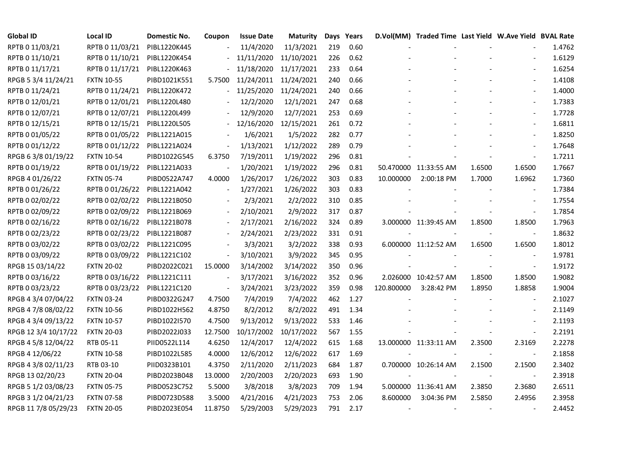| <b>Global ID</b>     | <b>Local ID</b>   | Domestic No. | Coupon                       | <b>Issue Date</b> | Maturity   |     | Days Years |            | D.Vol(MM) Traded Time Last Yield W.Ave Yield BVAL Rate |        |                          |        |
|----------------------|-------------------|--------------|------------------------------|-------------------|------------|-----|------------|------------|--------------------------------------------------------|--------|--------------------------|--------|
| RPTB 0 11/03/21      | RPTB 0 11/03/21   | PIBL1220K445 |                              | 11/4/2020         | 11/3/2021  | 219 | 0.60       |            |                                                        |        |                          | 1.4762 |
| RPTB 0 11/10/21      | RPTB 0 11/10/21   | PIBL1220K454 |                              | 11/11/2020        | 11/10/2021 | 226 | 0.62       |            |                                                        |        |                          | 1.6129 |
| RPTB 0 11/17/21      | RPTB 0 11/17/21   | PIBL1220K463 |                              | 11/18/2020        | 11/17/2021 | 233 | 0.64       |            |                                                        |        | $\blacksquare$           | 1.6254 |
| RPGB 5 3/4 11/24/21  | <b>FXTN 10-55</b> | PIBD1021K551 | 5.7500                       | 11/24/2011        | 11/24/2021 | 240 | 0.66       |            |                                                        |        | $\blacksquare$           | 1.4108 |
| RPTB 0 11/24/21      | RPTB 0 11/24/21   | PIBL1220K472 | $\frac{1}{2}$                | 11/25/2020        | 11/24/2021 | 240 | 0.66       |            |                                                        |        | $\overline{\phantom{a}}$ | 1.4000 |
| RPTB 0 12/01/21      | RPTB 0 12/01/21   | PIBL1220L480 |                              | 12/2/2020         | 12/1/2021  | 247 | 0.68       |            |                                                        |        | $\overline{\phantom{a}}$ | 1.7383 |
| RPTB 0 12/07/21      | RPTB 0 12/07/21   | PIBL1220L499 |                              | 12/9/2020         | 12/7/2021  | 253 | 0.69       |            |                                                        |        | $\overline{\phantom{a}}$ | 1.7728 |
| RPTB 0 12/15/21      | RPTB 0 12/15/21   | PIBL1220L505 |                              | 12/16/2020        | 12/15/2021 | 261 | 0.72       |            |                                                        |        | $\overline{\phantom{a}}$ | 1.6811 |
| RPTB 0 01/05/22      | RPTB 0 01/05/22   | PIBL1221A015 |                              | 1/6/2021          | 1/5/2022   | 282 | 0.77       |            |                                                        |        |                          | 1.8250 |
| RPTB 0 01/12/22      | RPTB 0 01/12/22   | PIBL1221A024 | $\qquad \qquad \blacksquare$ | 1/13/2021         | 1/12/2022  | 289 | 0.79       |            |                                                        |        |                          | 1.7648 |
| RPGB 63/8 01/19/22   | <b>FXTN 10-54</b> | PIBD1022G545 | 6.3750                       | 7/19/2011         | 1/19/2022  | 296 | 0.81       |            |                                                        |        |                          | 1.7211 |
| RPTB 0 01/19/22      | RPTB 0 01/19/22   | PIBL1221A033 |                              | 1/20/2021         | 1/19/2022  | 296 | 0.81       |            | 50.470000 11:33:55 AM                                  | 1.6500 | 1.6500                   | 1.7667 |
| RPGB 4 01/26/22      | <b>FXTN 05-74</b> | PIBD0522A747 | 4.0000                       | 1/26/2017         | 1/26/2022  | 303 | 0.83       | 10.000000  | 2:00:18 PM                                             | 1.7000 | 1.6962                   | 1.7360 |
| RPTB 0 01/26/22      | RPTB 0 01/26/22   | PIBL1221A042 | $\overline{\phantom{a}}$     | 1/27/2021         | 1/26/2022  | 303 | 0.83       |            |                                                        |        | $\blacksquare$           | 1.7384 |
| RPTB 0 02/02/22      | RPTB 0 02/02/22   | PIBL1221B050 |                              | 2/3/2021          | 2/2/2022   | 310 | 0.85       |            |                                                        |        | $\sim$                   | 1.7554 |
| RPTB 0 02/09/22      | RPTB 0 02/09/22   | PIBL1221B069 |                              | 2/10/2021         | 2/9/2022   | 317 | 0.87       |            |                                                        |        |                          | 1.7854 |
| RPTB 0 02/16/22      | RPTB 0 02/16/22   | PIBL1221B078 | $\blacksquare$               | 2/17/2021         | 2/16/2022  | 324 | 0.89       |            | 3.000000 11:39:45 AM                                   | 1.8500 | 1.8500                   | 1.7963 |
| RPTB 0 02/23/22      | RPTB 0 02/23/22   | PIBL1221B087 | $\blacksquare$               | 2/24/2021         | 2/23/2022  | 331 | 0.91       |            |                                                        |        | $\overline{\phantom{a}}$ | 1.8632 |
| RPTB 0 03/02/22      | RPTB 0 03/02/22   | PIBL1221C095 |                              | 3/3/2021          | 3/2/2022   | 338 | 0.93       |            | 6.000000 11:12:52 AM                                   | 1.6500 | 1.6500                   | 1.8012 |
| RPTB 0 03/09/22      | RPTB 0 03/09/22   | PIBL1221C102 | $\overline{\phantom{a}}$     | 3/10/2021         | 3/9/2022   | 345 | 0.95       |            |                                                        |        | $\sim$                   | 1.9781 |
| RPGB 15 03/14/22     | <b>FXTN 20-02</b> | PIBD2022C021 | 15.0000                      | 3/14/2002         | 3/14/2022  | 350 | 0.96       |            |                                                        |        | $\sim$                   | 1.9172 |
| RPTB 0 03/16/22      | RPTB 0 03/16/22   | PIBL1221C111 | $\overline{\phantom{a}}$     | 3/17/2021         | 3/16/2022  | 352 | 0.96       |            | 2.026000 10:42:57 AM                                   | 1.8500 | 1.8500                   | 1.9082 |
| RPTB 0 03/23/22      | RPTB 0 03/23/22   | PIBL1221C120 |                              | 3/24/2021         | 3/23/2022  | 359 | 0.98       | 120.800000 | 3:28:42 PM                                             | 1.8950 | 1.8858                   | 1.9004 |
| RPGB 4 3/4 07/04/22  | <b>FXTN 03-24</b> | PIBD0322G247 | 4.7500                       | 7/4/2019          | 7/4/2022   | 462 | 1.27       |            |                                                        |        |                          | 2.1027 |
| RPGB 4 7/8 08/02/22  | <b>FXTN 10-56</b> | PIBD1022H562 | 4.8750                       | 8/2/2012          | 8/2/2022   | 491 | 1.34       |            |                                                        |        | $\blacksquare$           | 2.1149 |
| RPGB 4 3/4 09/13/22  | <b>FXTN 10-57</b> | PIBD1022I570 | 4.7500                       | 9/13/2012         | 9/13/2022  | 533 | 1.46       |            |                                                        |        |                          | 2.1193 |
| RPGB 12 3/4 10/17/22 | <b>FXTN 20-03</b> | PIBD2022J033 | 12.7500                      | 10/17/2002        | 10/17/2022 | 567 | 1.55       |            |                                                        |        | $\blacksquare$           | 2.2191 |
| RPGB 4 5/8 12/04/22  | RTB 05-11         | PIID0522L114 | 4.6250                       | 12/4/2017         | 12/4/2022  | 615 | 1.68       |            | 13.000000 11:33:11 AM                                  | 2.3500 | 2.3169                   | 2.2278 |
| RPGB 4 12/06/22      | <b>FXTN 10-58</b> | PIBD1022L585 | 4.0000                       | 12/6/2012         | 12/6/2022  | 617 | 1.69       |            |                                                        |        | $\overline{\phantom{a}}$ | 2.1858 |
| RPGB 4 3/8 02/11/23  | RTB 03-10         | PIID0323B101 | 4.3750                       | 2/11/2020         | 2/11/2023  | 684 | 1.87       |            | 0.700000 10:26:14 AM                                   | 2.1500 | 2.1500                   | 2.3402 |
| RPGB 13 02/20/23     | <b>FXTN 20-04</b> | PIBD2023B048 | 13.0000                      | 2/20/2003         | 2/20/2023  | 693 | 1.90       |            |                                                        |        |                          | 2.3918 |
| RPGB 5 1/2 03/08/23  | <b>FXTN 05-75</b> | PIBD0523C752 | 5.5000                       | 3/8/2018          | 3/8/2023   | 709 | 1.94       |            | 5.000000 11:36:41 AM                                   | 2.3850 | 2.3680                   | 2.6511 |
| RPGB 3 1/2 04/21/23  | <b>FXTN 07-58</b> | PIBD0723D588 | 3.5000                       | 4/21/2016         | 4/21/2023  | 753 | 2.06       | 8.600000   | 3:04:36 PM                                             | 2.5850 | 2.4956                   | 2.3958 |
| RPGB 11 7/8 05/29/23 | <b>FXTN 20-05</b> | PIBD2023E054 | 11.8750                      | 5/29/2003         | 5/29/2023  | 791 | 2.17       |            |                                                        |        |                          | 2.4452 |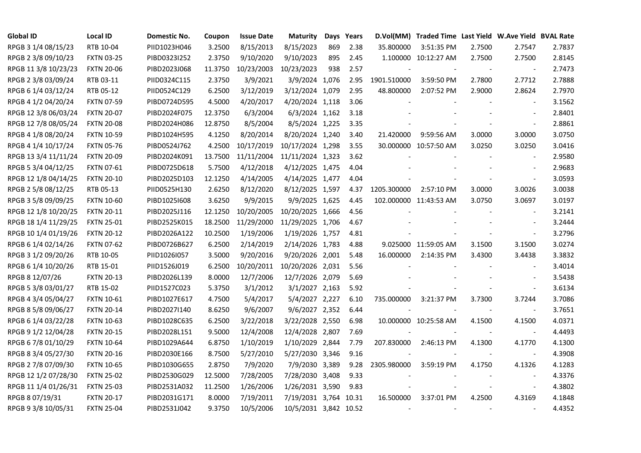| <b>Global ID</b>     | <b>Local ID</b>   | Domestic No. | Coupon  | <b>Issue Date</b> | <b>Maturity</b>       |     | Days Years |             | D.Vol(MM) Traded Time Last Yield W.Ave Yield BVAL Rate |        |                          |        |
|----------------------|-------------------|--------------|---------|-------------------|-----------------------|-----|------------|-------------|--------------------------------------------------------|--------|--------------------------|--------|
| RPGB 3 1/4 08/15/23  | RTB 10-04         | PIID1023H046 | 3.2500  | 8/15/2013         | 8/15/2023             | 869 | 2.38       | 35.800000   | 3:51:35 PM                                             | 2.7500 | 2.7547                   | 2.7837 |
| RPGB 2 3/8 09/10/23  | <b>FXTN 03-25</b> | PIBD0323I252 | 2.3750  | 9/10/2020         | 9/10/2023             | 895 | 2.45       |             | 1.100000 10:12:27 AM                                   | 2.7500 | 2.7500                   | 2.8145 |
| RPGB 11 3/8 10/23/23 | <b>FXTN 20-06</b> | PIBD2023J068 | 11.3750 | 10/23/2003        | 10/23/2023            | 938 | 2.57       |             |                                                        |        | $\overline{\phantom{a}}$ | 2.7473 |
| RPGB 2 3/8 03/09/24  | RTB 03-11         | PIID0324C115 | 2.3750  | 3/9/2021          | 3/9/2024 1,076        |     | 2.95       | 1901.510000 | 3:59:50 PM                                             | 2.7800 | 2.7712                   | 2.7888 |
| RPGB 6 1/4 03/12/24  | RTB 05-12         | PIID0524C129 | 6.2500  | 3/12/2019         | 3/12/2024 1,079       |     | 2.95       | 48.800000   | 2:07:52 PM                                             | 2.9000 | 2.8624                   | 2.7970 |
| RPGB 4 1/2 04/20/24  | <b>FXTN 07-59</b> | PIBD0724D595 | 4.5000  | 4/20/2017         | 4/20/2024 1,118       |     | 3.06       |             |                                                        |        | $\blacksquare$           | 3.1562 |
| RPGB 12 3/8 06/03/24 | <b>FXTN 20-07</b> | PIBD2024F075 | 12.3750 | 6/3/2004          | 6/3/2024 1,162        |     | 3.18       |             |                                                        |        | $\overline{\phantom{a}}$ | 2.8401 |
| RPGB 12 7/8 08/05/24 | <b>FXTN 20-08</b> | PIBD2024H086 | 12.8750 | 8/5/2004          | 8/5/2024 1,225        |     | 3.35       |             |                                                        |        | $\blacksquare$           | 2.8861 |
| RPGB 4 1/8 08/20/24  | <b>FXTN 10-59</b> | PIBD1024H595 | 4.1250  | 8/20/2014         | 8/20/2024 1,240       |     | 3.40       | 21.420000   | 9:59:56 AM                                             | 3.0000 | 3.0000                   | 3.0750 |
| RPGB 4 1/4 10/17/24  | <b>FXTN 05-76</b> | PIBD0524J762 | 4.2500  | 10/17/2019        | 10/17/2024 1,298      |     | 3.55       |             | 30.000000 10:57:50 AM                                  | 3.0250 | 3.0250                   | 3.0416 |
| RPGB 13 3/4 11/11/24 | <b>FXTN 20-09</b> | PIBD2024K091 | 13.7500 | 11/11/2004        | 11/11/2024 1,323      |     | 3.62       |             |                                                        |        | $\blacksquare$           | 2.9580 |
| RPGB 5 3/4 04/12/25  | FXTN 07-61        | PIBD0725D618 | 5.7500  | 4/12/2018         | 4/12/2025 1,475       |     | 4.04       |             |                                                        |        | $\sim$                   | 2.9683 |
| RPGB 12 1/8 04/14/25 | <b>FXTN 20-10</b> | PIBD2025D103 | 12.1250 | 4/14/2005         | 4/14/2025 1,477       |     | 4.04       |             |                                                        |        | $\blacksquare$           | 3.0593 |
| RPGB 2 5/8 08/12/25  | RTB 05-13         | PIID0525H130 | 2.6250  | 8/12/2020         | 8/12/2025 1,597       |     | 4.37       | 1205.300000 | 2:57:10 PM                                             | 3.0000 | 3.0026                   | 3.0038 |
| RPGB 3 5/8 09/09/25  | <b>FXTN 10-60</b> | PIBD10251608 | 3.6250  | 9/9/2015          | 9/9/2025 1,625        |     | 4.45       |             | 102.000000 11:43:53 AM                                 | 3.0750 | 3.0697                   | 3.0197 |
| RPGB 12 1/8 10/20/25 | <b>FXTN 20-11</b> | PIBD2025J116 | 12.1250 | 10/20/2005        | 10/20/2025 1,666      |     | 4.56       |             |                                                        |        |                          | 3.2141 |
| RPGB 18 1/4 11/29/25 | <b>FXTN 25-01</b> | PIBD2525K015 | 18.2500 | 11/29/2000        | 11/29/2025 1,706      |     | 4.67       |             |                                                        |        | $\overline{\phantom{a}}$ | 3.2444 |
| RPGB 10 1/4 01/19/26 | <b>FXTN 20-12</b> | PIBD2026A122 | 10.2500 | 1/19/2006         | 1/19/2026 1,757       |     | 4.81       |             |                                                        |        | $\overline{\phantom{a}}$ | 3.2796 |
| RPGB 6 1/4 02/14/26  | <b>FXTN 07-62</b> | PIBD0726B627 | 6.2500  | 2/14/2019         | 2/14/2026 1,783       |     | 4.88       |             | 9.025000 11:59:05 AM                                   | 3.1500 | 3.1500                   | 3.0274 |
| RPGB 3 1/2 09/20/26  | RTB 10-05         | PIID1026I057 | 3.5000  | 9/20/2016         | 9/20/2026 2,001       |     | 5.48       | 16.000000   | 2:14:35 PM                                             | 3.4300 | 3.4438                   | 3.3832 |
| RPGB 6 1/4 10/20/26  | RTB 15-01         | PIID1526J019 | 6.2500  | 10/20/2011        | 10/20/2026 2,031      |     | 5.56       |             |                                                        |        | $\blacksquare$           | 3.4014 |
| RPGB 8 12/07/26      | <b>FXTN 20-13</b> | PIBD2026L139 | 8.0000  | 12/7/2006         | 12/7/2026 2,079       |     | 5.69       |             |                                                        |        | $\overline{\phantom{a}}$ | 3.5438 |
| RPGB 5 3/8 03/01/27  | RTB 15-02         | PIID1527C023 | 5.3750  | 3/1/2012          | 3/1/2027 2,163        |     | 5.92       |             |                                                        |        | $\blacksquare$           | 3.6134 |
| RPGB 4 3/4 05/04/27  | <b>FXTN 10-61</b> | PIBD1027E617 | 4.7500  | 5/4/2017          | 5/4/2027 2,227        |     | 6.10       | 735.000000  | 3:21:37 PM                                             | 3.7300 | 3.7244                   | 3.7086 |
| RPGB 8 5/8 09/06/27  | <b>FXTN 20-14</b> | PIBD2027I140 | 8.6250  | 9/6/2007          | 9/6/2027 2,352        |     | 6.44       |             |                                                        | $\sim$ | $\blacksquare$           | 3.7651 |
| RPGB 6 1/4 03/22/28  | <b>FXTN 10-63</b> | PIBD1028C635 | 6.2500  | 3/22/2018         | 3/22/2028 2,550       |     | 6.98       |             | 10.000000 10:25:58 AM                                  | 4.1500 | 4.1500                   | 4.0371 |
| RPGB 9 1/2 12/04/28  | <b>FXTN 20-15</b> | PIBD2028L151 | 9.5000  | 12/4/2008         | 12/4/2028 2,807       |     | 7.69       |             |                                                        |        | $\blacksquare$           | 4.4493 |
| RPGB 67/8 01/10/29   | <b>FXTN 10-64</b> | PIBD1029A644 | 6.8750  | 1/10/2019         | 1/10/2029 2,844       |     | 7.79       | 207.830000  | 2:46:13 PM                                             | 4.1300 | 4.1770                   | 4.1300 |
| RPGB 8 3/4 05/27/30  | <b>FXTN 20-16</b> | PIBD2030E166 | 8.7500  | 5/27/2010         | 5/27/2030 3,346       |     | 9.16       |             |                                                        |        | $\blacksquare$           | 4.3908 |
| RPGB 2 7/8 07/09/30  | <b>FXTN 10-65</b> | PIBD1030G655 | 2.8750  | 7/9/2020          | 7/9/2030 3,389        |     | 9.28       | 2305.980000 | 3:59:19 PM                                             | 4.1750 | 4.1326                   | 4.1283 |
| RPGB 12 1/2 07/28/30 | <b>FXTN 25-02</b> | PIBD2530G029 | 12.5000 | 7/28/2005         | 7/28/2030 3,408       |     | 9.33       |             |                                                        |        | $\overline{\phantom{a}}$ | 4.3376 |
| RPGB 11 1/4 01/26/31 | <b>FXTN 25-03</b> | PIBD2531A032 | 11.2500 | 1/26/2006         | 1/26/2031 3,590       |     | 9.83       |             |                                                        |        | $\overline{\phantom{a}}$ | 4.3802 |
| RPGB 8 07/19/31      | <b>FXTN 20-17</b> | PIBD2031G171 | 8.0000  | 7/19/2011         | 7/19/2031 3,764 10.31 |     |            | 16.500000   | 3:37:01 PM                                             | 4.2500 | 4.3169                   | 4.1848 |
| RPGB 9 3/8 10/05/31  | <b>FXTN 25-04</b> | PIBD2531J042 | 9.3750  | 10/5/2006         | 10/5/2031 3,842 10.52 |     |            |             |                                                        |        |                          | 4.4352 |